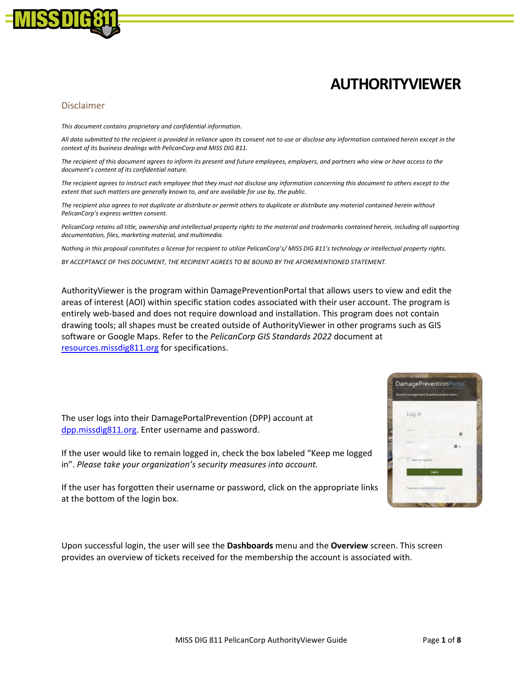

## **AUTHORITYVIEWER**

## Disclaimer

*This document contains proprietary and confidential information.*

*All data submitted to the recipient is provided in reliance upon its consent not to use or disclose any information contained herein except in the context of its business dealings with PelicanCorp and MISS DIG 811.*

*The recipient of this document agrees to inform its present and future employees, employers, and partners who view or have access to the document's content of its confidential nature.*

*The recipient agrees to instruct each employee that they must not disclose any information concerning this document to others except to the extent that such matters are generally known to, and are available for use by, the public.*

*The recipient also agrees to not duplicate or distribute or permit others to duplicate or distribute any material contained herein without PelicanCorp's express written consent.*

*PelicanCorp retains all title, ownership and intellectual property rights to the material and trademarks contained herein, including all supporting documentation, files, marketing material, and multimedia.*

*Nothing in this proposal constitutes a license for recipient to utilize PelicanCorp's/ MISS DIG 811's technology or intellectual property rights.*

*BY ACCEPTANCE OF THIS DOCUMENT, THE RECIPIENT AGREES TO BE BOUND BY THE AFOREMENTIONED STATEMENT.* 

AuthorityViewer is the program within DamagePreventionPortal that allows users to view and edit the areas of interest (AOI) within specific station codes associated with their user account. The program is entirely web-based and does not require download and installation. This program does not contain drawing tools; all shapes must be created outside of AuthorityViewer in other programs such as GIS software or Google Maps. Refer to the *PelicanCorp GIS Standards 2022* document at resources.missdig811.org for specifications.



The user logs into their DamagePortalPrevention (DPP) account at [dpp.missdig811.org.](http://dpp.missdig811.org/) Enter username and password.

If the user would like to remain logged in, check the box labeled "Keep me logged in". *Please take your organization's security measures into account.*

If the user has forgotten their username or password, click on the appropriate links at the bottom of the login box.

Upon successful login, the user will see the **Dashboards** menu and the **Overview** screen. This screen provides an overview of tickets received for the membership the account is associated with.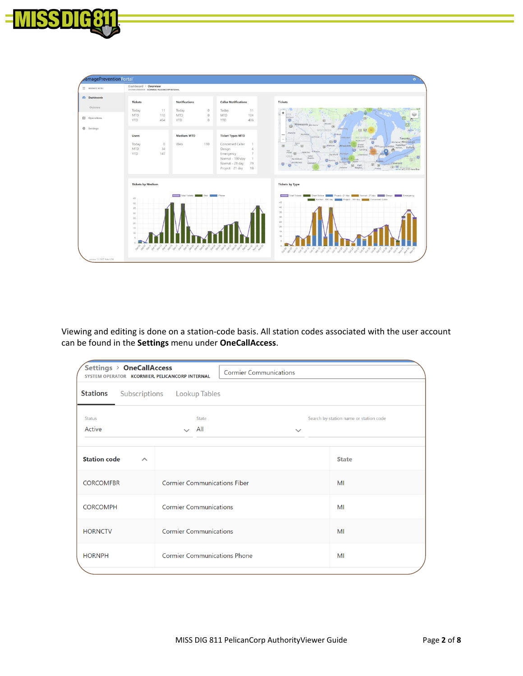



Viewing and editing is done on a station-code basis. All station codes associated with the user account can be found in the **Settings** menu under **OneCallAccess**.

| Settings > OneCallAccess<br>SYSTEM OPERATOR KCORMIER, PELICANCORP INTERNAL |                                     |                                        |
|----------------------------------------------------------------------------|-------------------------------------|----------------------------------------|
| <b>Stations</b>                                                            | Subscriptions Lookup Tables         |                                        |
| <b>Status</b><br>Active                                                    | State<br>$\vee$ All<br>$\checkmark$ | Search by station name or station code |
|                                                                            |                                     |                                        |
| <b>Station code</b><br>$\curvearrowright$                                  |                                     | <b>State</b>                           |
| <b>CORCOMFBR</b>                                                           | <b>Cormier Communications Fiber</b> | MI                                     |
| <b>CORCOMPH</b>                                                            | <b>Cormier Communications</b>       | MI                                     |
| <b>HORNCTV</b>                                                             | <b>Cormier Communications</b>       | MI                                     |
| <b>HORNPH</b>                                                              | <b>Cormier Communications Phone</b> | MI                                     |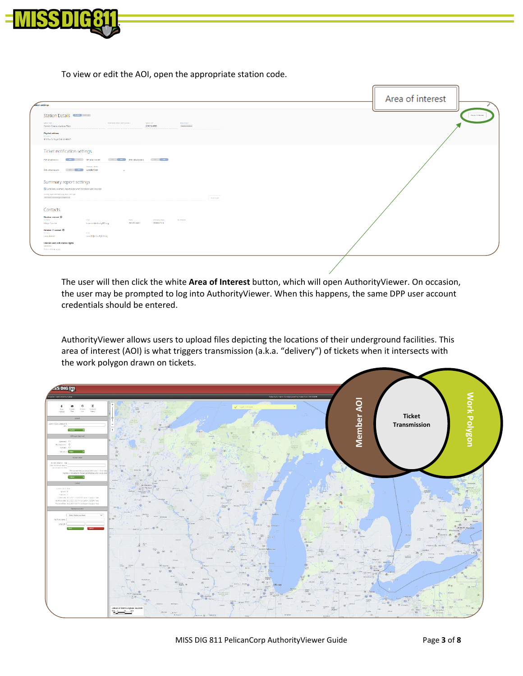

To view or edit the AOI, open the appropriate station code.

| ation settings                                                                                                                                                                                                                                                                                                                                                                                                                                                                             | Area of interest |
|--------------------------------------------------------------------------------------------------------------------------------------------------------------------------------------------------------------------------------------------------------------------------------------------------------------------------------------------------------------------------------------------------------------------------------------------------------------------------------------------|------------------|
| Station Details ( mm)<br>Astronome states rates (splana)<br>meanly type<br><b>Special code:</b><br>Notion code<br>Comiter Communications Fiber<br>CORCOMFER<br>Convenientos<br><b>Physical address</b><br>Palladdrop<br>123 Flm Dr Royal Oak ML48367                                                                                                                                                                                                                                       | Americans        |
| Ticket notification settings<br>Rofamidinaires (1991) or diffamidinaire (1981) 900 anichments (1981) or<br>President Advisers<br>GML attachments (COM COM Congle Maps)<br>$\sim 10^{11}$ km s $^{-1}$ km s $^{-1}$<br>Summary report settings<br>Send daily summary report even when no tidens were received<br>Summary report deaths@orddity transmission ture                                                                                                                            |                  |
| WATER BEATLE INTERFERING AND LEASE.<br>Add type<br>Contacts<br><b>Member contact O</b><br>Fall career<br><b>EXAMPLE AND RESIDENCE AND RESIDENCE</b><br><b>STAGE AND STAGE AND STAGE</b><br>involving page<br>The particular)<br>240370-8442<br>2486037133<br>kommie@micelight1.org<br><b>Kristen Commer</b><br><b>Member IT contact ®</b><br>Palmera<br>De al<br>Land@misch@11.mg<br><b>Lease Amodel</b><br>Internal users with station rights<br><b>USETWINE</b><br>Select all that apply |                  |

The user will then click the white **Area of Interest** button, which will open AuthorityViewer. On occasion, the user may be prompted to log into AuthorityViewer. When this happens, the same DPP user account credentials should be entered.

AuthorityViewer allows users to upload files depicting the locations of their underground facilities. This area of interest (AOI) is what triggers transmission (a.k.a. "delivery") of tickets when it intersects with the work polygon drawn on tickets.

![](_page_2_Figure_5.jpeg)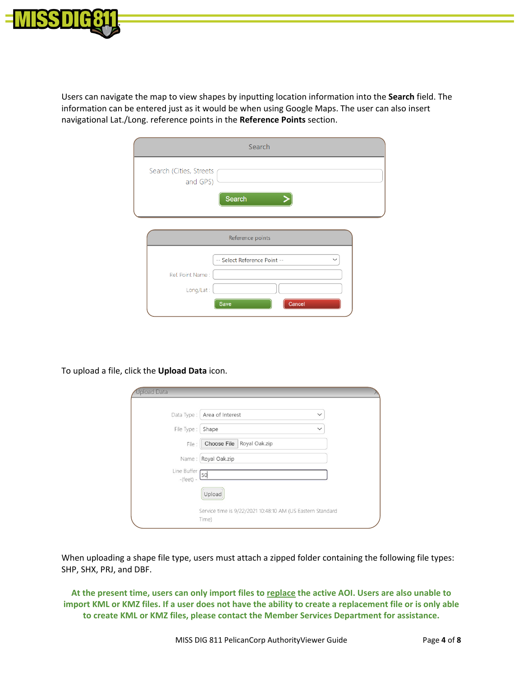![](_page_3_Picture_0.jpeg)

Users can navigate the map to view shapes by inputting location information into the **Search** field. The information can be entered just as it would be when using Google Maps. The user can also insert navigational Lat./Long. reference points in the **Reference Points** section.

| Search                                                                          |             |
|---------------------------------------------------------------------------------|-------------|
| Search (Cities, Streets<br>and GPS)<br>Search                                   |             |
| Reference points                                                                |             |
| -- Select Reference Point --<br>Ref. Point Name:<br>Long/Lat:<br>Cancel<br>Save | $\check{ }$ |

To upload a file, click the **Upload Data** icon.

| <b>Upload Data</b>       |                                                                     |  |
|--------------------------|---------------------------------------------------------------------|--|
|                          | Data Type : Area of Interest<br>$\checkmark$                        |  |
| File Type :              | Shape<br>$\checkmark$                                               |  |
| File:                    | Choose File Royal Oak.zip                                           |  |
|                          | Name: Royal Oak.zip                                                 |  |
| Line Buffer<br>$-(feet)$ | 50                                                                  |  |
|                          | Upload                                                              |  |
|                          | Service time is 9/22/2021 10:48:10 AM (US Eastern Standard<br>Time) |  |

When uploading a shape file type, users must attach a zipped folder containing the following file types: SHP, SHX, PRJ, and DBF.

**At the present time, users can only import files to replace the active AOI. Users are also unable to import KML or KMZ files. If a user does not have the ability to create a replacement file or is only able to create KML or KMZ files, please contact the Member Services Department for assistance.**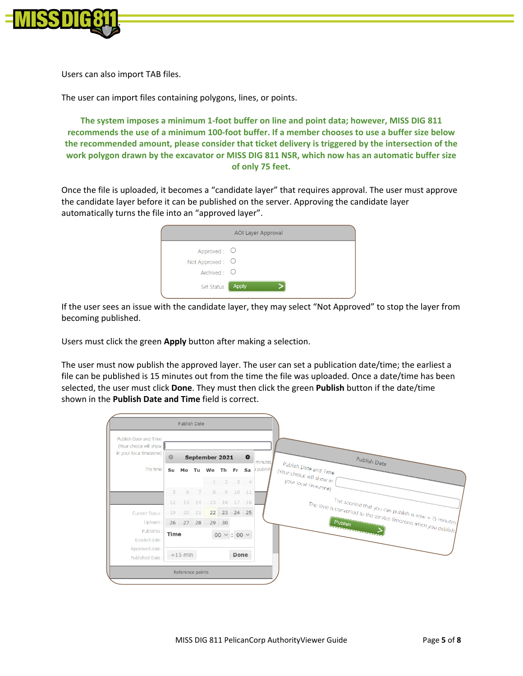![](_page_4_Picture_0.jpeg)

Users can also import TAB files.

The user can import files containing polygons, lines, or points.

**The system imposes a minimum 1-foot buffer on line and point data; however, MISS DIG 811 recommends the use of a minimum 100-foot buffer. If a member chooses to use a buffer size below the recommended amount, please consider that ticket delivery is triggered by the intersection of the work polygon drawn by the excavator or MISS DIG 811 NSR, which now has an automatic buffer size of only 75 feet.**

Once the file is uploaded, it becomes a "candidate layer" that requires approval. The user must approve the candidate layer before it can be published on the server. Approving the candidate layer automatically turns the file into an "approved layer".

| <b>AOI Layer Approval</b> |       |  |  |  |  |  |  |  |
|---------------------------|-------|--|--|--|--|--|--|--|
| Approved: O               |       |  |  |  |  |  |  |  |
| Not Approved: O           |       |  |  |  |  |  |  |  |
| Archived: $\bigcirc$      |       |  |  |  |  |  |  |  |
| Set Status                | Apply |  |  |  |  |  |  |  |

If the user sees an issue with the candidate layer, they may select "Not Approved" to stop the layer from becoming published.

Users must click the green **Apply** button after making a selection.

The user must now publish the approved layer. The user can set a publication date/time; the earliest a file can be published is 15 minutes out from the time the file was uploaded. Once a date/time has been selected, the user must click **Done**. They must then click the green **Publish** button if the date/time shown in the **Publish Date and Time** field is correct.

|                                                 |                                                    | <b>Publish Date</b> |     |                |                        |         |                |
|-------------------------------------------------|----------------------------------------------------|---------------------|-----|----------------|------------------------|---------|----------------|
| Publish Date and Time<br>(Your choice will show |                                                    |                     |     |                |                        |         |                |
| in your local timezone)                         | $\bullet$<br>$\circ$<br>September 2021<br>minutes. |                     |     |                |                        |         |                |
| The time                                        | Su                                                 |                     |     | Mo Tu We Th Fr |                        |         | Sa             |
|                                                 |                                                    |                     |     | 1              | 2                      | 3       | $\overline{4}$ |
|                                                 | $5 -$                                              |                     | 6 7 | 8              |                        | 9 10 11 |                |
|                                                 | 12                                                 | 13                  | 14  |                | 15  16  17  18         |         |                |
| Current Status                                  | 19                                                 | 20                  | 21  | 22             | 23                     |         | 24 25          |
| Uploads:                                        |                                                    | 26 27               | 28  | 29             | 30                     |         |                |
| Publishes:<br>Loaded date:                      | Time                                               |                     |     |                | $00 \times 100 \times$ |         |                |
| Approved date:<br>Published Date:               |                                                    | $+15$ min           |     |                |                        | Done    |                |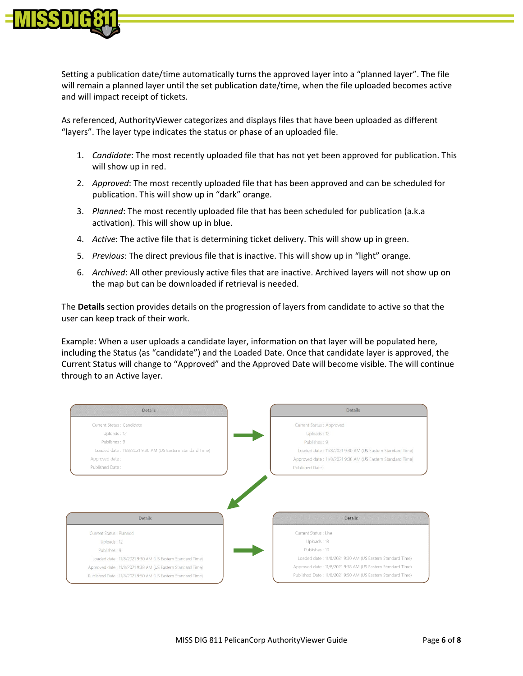![](_page_5_Picture_0.jpeg)

Setting a publication date/time automatically turns the approved layer into a "planned layer". The file will remain a planned layer until the set publication date/time, when the file uploaded becomes active and will impact receipt of tickets.

As referenced, AuthorityViewer categorizes and displays files that have been uploaded as different "layers". The layer type indicates the status or phase of an uploaded file.

- 1. *Candidate*: The most recently uploaded file that has not yet been approved for publication. This will show up in red.
- 2. *Approved*: The most recently uploaded file that has been approved and can be scheduled for publication. This will show up in "dark" orange.
- 3. *Planned*: The most recently uploaded file that has been scheduled for publication (a.k.a activation). This will show up in blue.
- 4. *Active*: The active file that is determining ticket delivery. This will show up in green.
- 5. *Previous*: The direct previous file that is inactive. This will show up in "light" orange.
- 6. *Archived*: All other previously active files that are inactive. Archived layers will not show up on the map but can be downloaded if retrieval is needed.

The **Details** section provides details on the progression of layers from candidate to active so that the user can keep track of their work.

Example: When a user uploads a candidate layer, information on that layer will be populated here, including the Status (as "candidate") and the Loaded Date. Once that candidate layer is approved, the Current Status will change to "Approved" and the Approved Date will become visible. The will continue through to an Active layer.

![](_page_5_Figure_11.jpeg)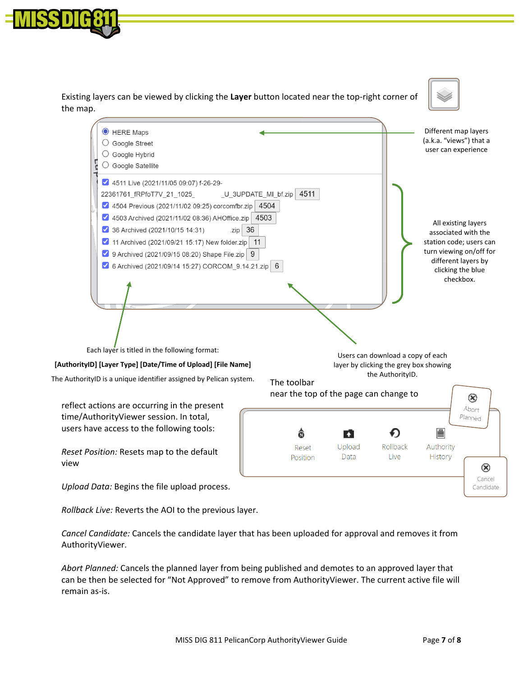![](_page_6_Picture_0.jpeg)

Existing layers can be viewed by clicking the **Layer** button located near the top-right corner of the map.

![](_page_6_Picture_2.jpeg)

![](_page_6_Picture_3.jpeg)

*Rollback Live:* Reverts the AOI to the previous layer.

*Cancel Candidate:* Cancels the candidate layer that has been uploaded for approval and removes it from AuthorityViewer.

*Abort Planned:* Cancels the planned layer from being published and demotes to an approved layer that can be then be selected for "Not Approved" to remove from AuthorityViewer. The current active file will remain as-is.